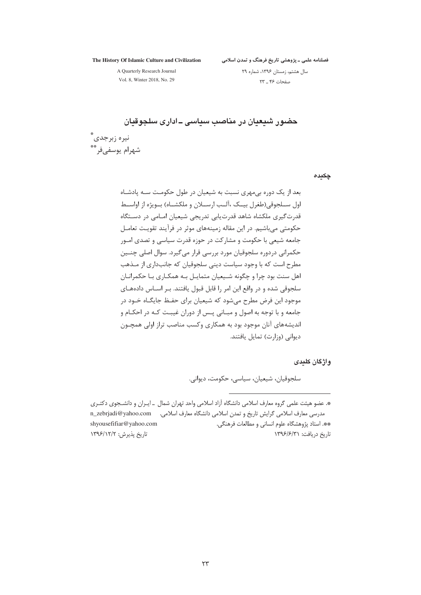The History Of Islamic Culture and Civilization

فصلنامه علمی ــ پژوهشی تاریخ فرهنگ و تمدن اسلامی

A Quarterly Research Journal

سال هشتم، زمستان ۱۳۹۶، شماره ۲۹ صفحات ۴۶ \_ ٢٣

Vol. 8, Winter 2018, No. 29

حضور شیعیان در مناصب سیاسی ـ اداری سلجوقیان نيره زبرجدي ٌّ شهرام يوسفے فر

چکیدہ

بعد از یک دوره بی مهری نسبت به شیعیان در طول حکومت سـه پادشـاه اول ســلجوقي(طغرل بيــک ،آلــب ارســلان و ملکشــاه) بــويژه از اواســط قدرت گیری ملکشاه شاهد قدرت یابی تدریجی شیعیان امـامی در دسـتگاه حکومتی میباشیم. در این مقاله زمینههای موثر در فرآیند تقویت تعامـل جامعه شیعی با حکومت و مشارکت در حوزه قدرت سیاسی و تصدی امـور حکمرانی دردورہ سلجوقیان مورد بررسی قرار می گیرد. سوال اصلی چنــین مطرح است که با وجود سیاست دینی سلجوقیان که جانبداری از مـذهب اهل سنت بود چرا و چگونه شـيعيان متمايـل بـه همكـاري بـا حكمرانـان سلجوقی شده و در واقع این امر را قابل قبول یافتند. بـر اسـاس دادههـای موجود این فرض مطرح می شود که شیعیان برای حفـظ جایگـاه خـود در جامعه و با توجه به اصول و مبـاني پـس از دوران غيبـت كـه در احكـام و اندیشههای آنان موجود بود به همکاری وکسب مناصب تراز اولی همچـون دیوانی (وزارت) تمایل یافتند.

واژگان کلندی

سلجوقيان، شيعيان، سياسي، حكومت، ديواني.

\*. عضو هيئت علمي گروه معارف اسلامي دانشگاه آزاد اسلامي واحد تهران شمال \_ ايـران و دانشـجوي دكتـري مدرسی معارف اسلامی گرایش تاریخ و تمدن اسلامی دانشگاه معارف اسلامی. \_\_ n\_zebrjadi@yahoo.com \*\*. استاد پژوهشگاه علوم انسانی و مطالعات فرهنگی. shyousefifiar@yahoo.com تاريخ پذيرش: ١٣٩۶/١٢/٢ تاریخ دریافت: ۱۳۹۶/۶/۳۱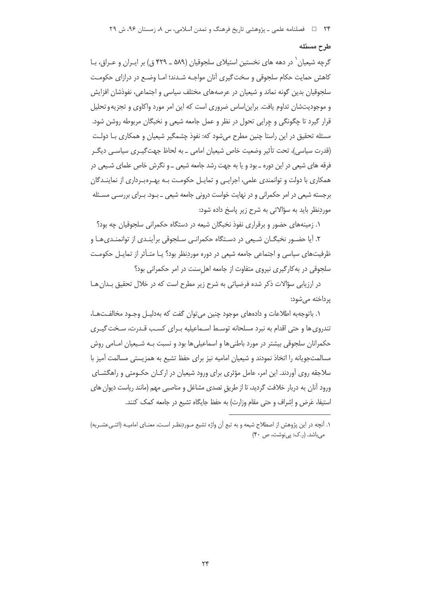#### طرح مسئله

گرچه شیعیان ٰ در دهه های نخستین استیلای سلجوقیان (۵۸۹ ـ ۴۲۹ ق) بر ایـران و عـراق، بـا کاهش حمایت حکام سلجوقی و سخت گیری آنان مواجـه شـدند؛ امـا وضـع در درازای حکومـت سلجوقيان بدين گونه نماند و شيعيان در عرصههاي مختلف سياسي و اجتماعي، نفوذشان افزايش و موجودیتشان تداوم یافت. براین|ساس ضروری است که این امر مورد واکاوی و تجزیه و تحلیل قرار گیرد تا چگونگی و چراپی تحول در نظر و عمل جامعه شیعی و نخبگان مربوطه روشن شود. مسئله تحقیق در این راستا چنین مطرح میشود که: نفوذ چشمگیر شیعیان و همکاری بـا دولـت (قدرت سیاسی)، تحت تأثیر وضعیت خاص شیعیان امامی ـ به لحاظ جهت گیـری سیاسـی دیگـر فرقه های شیعی در این دوره ـ بود و یا به جهت رشد جامعه شیعی ـ و نگرش خاص علمای شـیعی در همکاری با دولت و توانمندی علمی، اجرایبی و تمایـل حکومـت بـه بهـرهبـرداری از نماینـدگان برجسته شیعی در امر حکمرانی و در نهایت خواست درونی جامعه شیعی ـ بـود. بـرای بررسـی مسـئله موردنظر باید به سؤالاتی به شرح زیر پاسخ داده شود:

۱. زمینههای حضور و برقراری نفوذ نخبگان شیعه در دستگاه حکمرانی سلجوقیان چه بود؟

۲. آیا حضـور نخبگــان شــیعی در دســتگاه حکمرانـی سـلجوقی برآینـدی از توانمنـدیِهـا و ظرفیتهای سیاسی و اجتماعی جامعه شیعی در دوره موردِنظر بود؟ یـا متـأثر از تمایـل حکومـت سلجوقی در به کارگیری نیروی متفاوت از جامعه اهل سنت در امر حکمرانی بود؟

در ارزیابی سؤالات ذکر شده فرضیاتی به شرح زیر مطرح است که در خلال تحقیق بـدان هـا یرداخته مے شود:

۱. باتوجهبه اطلاعات و دادههای موجود چنین می توان گفت که بهدلیـل وجـود مخالفـتهـا، تندروی ها و حتی اقدام به نبرد مسلحانه توسـط اسـماعیلیه بـرای کسـب قـدرت، سـخت گیـری حکمرانان سلجوقی بیشتر در مورد باطنی ها و اسماعیلی ها بود و نسبت بـه شـیعیان امـامی روش مسالمتجویانه را اتخاذ نمودند و شیعیان امامیه نیز برای حفظ تشیع به همزیستی مسالمت آمیز با سلاجقه روی آوردند. این امر، عامل مؤثری برای ورود شیعیان در ارکـان حکـومتی و راهگشــای ورود آنان به دربار خلافت گردید، تا از طریق تصدی مشاغل و مناصبی مهم (مانند ریاست دیوان های استيفا، عَرِض و إشراف و حتى مقام وزارت) به حفظ جايگاه تشيع در جامعه كمك كنند.

١. آنچه در این پژوهش از اصطلاح شیعه و به تبع آن واژه تشیع مـوردنظـر اسـت، معنـای امامیـه (اثنـی عشـریه) میباشد. (ر.ک: پینوشت، ص ۴۰)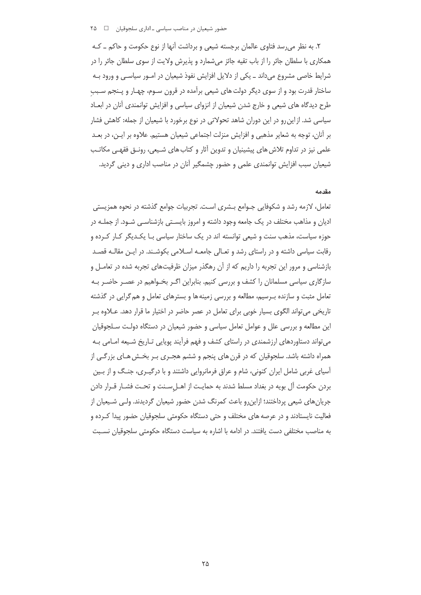۲. به نظر می رسد فتاوی عالمان برجسته شیعی و برداشت آنها از نوع حکومت و حاکم ــ کـه همکاری با سلطان جائر را از باب تقیه جائز میشمارد و پذیرش ولایت از سوی سلطان جائر را در شرایط خاصی مشروع می(باند ـ یکی از دلایل افزایش نفوذ شیعیان در امــور سیاســی و ورود بــه ساختار قدرت بود و از سوی دیگر دولت های شیعی برآمده در قرون سـوم، چهـار و پـنجم سـبب طرح دیدگاه های شیعی و خارج شدن شیعیان از انزوای سیاسی و افزایش توانمندی آنان در ابعـاد سیاسی شد. از این رو در این دوران شاهد تحولاتی در نوع برخورد با شیعیان از جمله: کاهش فشار بر آنان، توجه به شعایر مذهبی و افزایش منزلت اجتماعی شیعیان هستیم. علاوه بر ایـن، در بعــد علمی نیز در تداوم تلاش های پیشینیان و تدوین آثار و کتاب های شـیعی، رونـق فقهـی مکاتـب شیعیان سبب افزایش توانمندی علمی و حضور چشمگیر آنان در مناصب اداری و دینی گردید.

#### مقدمه

تعامل، لازمه رشد و شکوفایی جـوامع بـشری اسـت. تجربیات جوامع گذشته در نحوه همزیستی ادیان و مذاهب مختلف در یک جامعه وجود داشته و امروز بایســتی بازشناسـی شـود. از جملــه در حوزه سیاست، مذهب سنت و شیعی توانسته اند در یک ساختار سیاسی بـا یکـدیگر کـار کـرده و رقابت سیاسی داشته و در راستای رشد و تعـالی جامعــه اســلامی بکوشــند. در ایــن مقالــه قصــد بازشناسی و مرور این تجربه را داریم که از آن رهگذر میزان ظرفیتهای تجربه شده در تعامـل و سازگاری سیاسی مسلمانان را کشف و بررسی کنیم. بنابراین اگـر بخـواهیم در عصـر حاضـر بـه تعامل مثبت و سازنده بـرسیم، مطالعه و بررسی زمینهها و بسترهای تعامل و هم گرایی در گذشته تاریخی می تواند الگوی بسیار خوبی برای تعامل در عصر حاضر در اختیار ما قرار دهد. عــلاوه بــر این مطالعه و بررسی علل و عوامل تعامل سیاسی و حضور شیعیان در دستگاه دولت سـلجوقیان می تواند دستاوردهای ارزشمندی در راستای کشف و فهم فرآیند پویایی تـاریخ شـیعه امـامی بـه همراه داشته باشد. سلجوقیان که در قرن های پنجم و ششم هجـری بـر بخـش هـای بزرگـی از آسیای غربی شامل ایران کنونی، شام و عراق فرمانروایی داشتند و با درگیـری، جنگ و از بـین بردن حکومت آل بویه در بغداد مسلط شدند به حمایـت از اهــل ســنت و تحــت فشــار قــرار دادن جریان های شیعی پرداختند؛ ازاین٫رو باعث کمرنگ شدن حضور شیعیان گردیدند. ولـی شـیعیان از فعالیت نایستادند و در عرصه های مختلف و حتی دستگاه حکومتی سلجوقیان حضور پیدا کـرده و به مناصب مختلفی دست یافتند. در ادامه با اشاره به سیاست دستگاه حکومتی سلجوقیان نسبت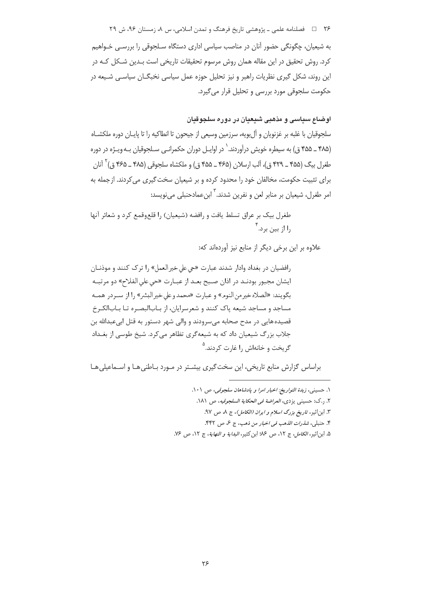۲۶ فصلنامه علمی ـ یژوهشی تاریخ فرهنگ و تمدن اسلامی، س ۸، زمستان ۹۶، ش ۲۹ به شیعیان، چگونگی حضور آنان در مناصب سیاسی اداری دستگاه سـلجوقی را بررسـی خـواهیم کرد. روش تحقیق در این مقاله همان روش مرسوم تحقیقات تاریخی است بـدین شـکل کـه در این روند، شکل گیری نظریات راهبر و نیز تحلیل حوزه عمل سیاسی نخبگــان سیاســی شــیعه در حکومت سلجوقی مورد بررسی و تحلیل قرار می گیرد.

# اوضاع سياسي و مذهبي شيعيان در دوره سلجوقيان

سلجوقیان با غلبه بر غزنویان و آلبویه، سرزمین وسیعی از جیحون تا انطاکیه را تا پایـان دوره ملکشـاه (۴۸۵ ـ ۴۵۵ ق) به سیطره خویش درآوردند. ٰ در اوایـل دوران حکمرانـی سـلجوقیان بـه ویـژه در دوره طغرل بيگ (۴۵۵ ــ ۴۲۹ ق)، آلب ارسلان (۴۶۵ ــ ۴۵۵ ق) و ملكشاه سلجوقي (۴۸۵ ــ ۴۶۵ ق) <sup>۲</sup> آنان برای تثبیت حکومت، مخالفان خود را محدود کرده و بر شیعیان سخت گیری می کردند. از جمله به امر طغرل، شيعيان بر منابر لعن و نفرين شدند. <sup>۳</sup> ابن عمادحنبل*ي مي ن*ويسد:

طغرل بیک بر عراق تسلط یافت و رافضه (شیعیان) را قلعوقمع کرد و شعائر آنها ، ا از سن پر د.

علاوه بر این برخی دیگر از منابع نیز آوردهاند که:

رافضيان در بغداد وادار شدند عبارت «حي على خير العمل» را ترک کنند و موذنـان ايشان مجبور بودنـد در اذان صـبح بعـد از عبـارت «حي على الفلاح» دو مرتبـه بگويند: «الصلاه خير من النوم» و عبارت «محمد و على خير البشر» را از سـردر همـه مساجد و مساجد شیعه یاک کنند و شعرسرایان، از بـابالبصـره تـا بـابالکـرخ قصیده هایی در مدح صحابه می سرودند و والی شهر دستور به قتل ابی عبدالله بن جلاب بزرگ شیعیان داد که به شیعهگری تظاهر می کرد. شیخ طوسی از بغـداد گريخت و خانهاش ,ا غا<sub>د</sub>ت کردند.<sup>۵</sup>

براساس گزارش منابع تاریخی، این سخت گیری بیشتر در مـورد بـاطنی هـا و اسـماعیلی هـا

- ٢. ر.ك: حسيني يزدي، *العراضة في الحكاية السلجوقيه*، ص ١٨١.
	- ٣. ابن|ثير، *تاريخ بزرگ اسلام و ايران (الكامل)*، ج ٨، ص ٩٧.
	- ۴. حنبلي، *شذرات الذهب في اخبار من ذهب*، ج ع، ص ۴۴۲.
- ۵. ابن اثير، الكامل، ج ١٢، ص ١٤٠ ابن كثير، البداية و النهاية، ج ١٢، ص ١٤.

١. حسيني، زبدة التواريخ: اخبار امرا و يادشاهان سلجوقي، ص ١٠١.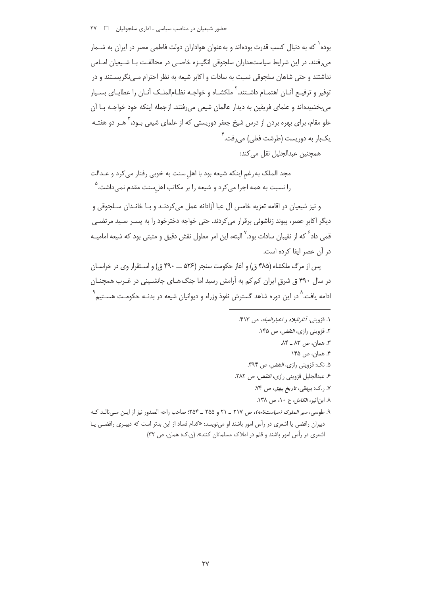بوده` که به دنبال کسب قدرت بودهاند و به عنوان هواداران دولت فاطمی مصر در ایران به شــمار می,رفتند. در این شرایط سیاستمداران سلجوقی انگیـزه خاصـی در مخالفـت بـا شـیعیان امـامی نداشتند و حتی شاهان سلجوقی نسبت به سادات و اکابر شیعه به نظر احترام مـی نگریســتند و در توفير و ترفيـع آنــان اهتمــام داشــتند.<sup>۲</sup> ملكشــاه و خواجــه نظــامالملــک آنــان را عطايــاي بســيار می بخشیدهاند و علمای فریقین به دیدار عالمان شیعی می رفتند. از جمله اینکه خود خواجـه بـا آن علو مقام، برای بهره بردن از درس شیخ جعفر دوریستی که از علمای شیعی بـود، <sup>۳</sup> هــر دو هفتــه یکبار به دوریست (طرشت فعلی) میرفت.<sup>۲</sup>

همچنین عبدالجلیل نقل می کند:

مجد الملک به رغم اینکه شیعه بود با اهل سنت به خوبی رفتار می کرد و عـدالت را نسبت به همه اجرا میکرد و شیعه را بر مکاتب اهلسنت مقدم نمیداشت.<sup>۵</sup>

و نيز شيعيان در اقامه تعزيه خامس آل عبا آزادانه عمل مي كردنـد و بــا خانـدان ســلجوقي و دیگر اکابر عصر، پیوند زناشوئی برقرار می کردند. حتی خواجه دخترخود را به پسـر سـید مرتضـی قمی داد<sup>۶</sup> که از نقیبان سادات بود.<sup>۷</sup> البته، این امر معلول نقش دقیق و مثبتی بود که شیعه امامیــه در آن عصر ایفا کرده است.

پس از مرگ ملکشاه (۴۸۵ ق) و آغاز حکومت سنجر (۵۲۶ ـــ ۴۹۰ ق) و اسـتقرار وي در خراسـان در سال ۴۹۰ ق شرق ایران کم کم به آرامش رسید اما جنگ هـای جانشـینی در غـرب همچنـان ادامه یافت.^ در این دوره شاهد گسترش نفوذ وزراء و دیوانیان شیعه در بدنــه حکومـت هســتیم ٌ

- ١. قزويني، أثارالبلاد و اخبارالعباد، ص ۴۱۳. ۲. قزوینی راز*ی، النقض،* ص ۱۴۵. ٣. همان، ص ٨٣ ـ ٨۴. ۴. همان، ص ۱۴۵
	- ۵. نک: قزوینی راز*ی، النقض، ص* ۳۹۴.
	- ۶. عبدالجليل قزويني رازي، *النقض، ص* ٢٨٢.
		- ۷. ر.ک: بیهقی، *تاریخ بیهق*، ص ۷۴.
		- ٨. ابن اثير، *الكامل،* ج ١٠، ص ١٣٨.
- ۹. طوسی، *سیر الملوک (سیاستنامه)*، ص ۲۱۷ ـ ۲۱ و ۲۵۵ ـ ۲۵۴: صاحب راحه الصدور نیز از ایـن مـیiالـد کـه دبیران رافضی یا اشعری در رأس امور باشند او می نویسد: «کدام فساد از این بدتر است که دبیـری رافضـی یـا اشعری در رأس امور باشند و قلم در املاک مسلمانان کنند». (ن.ک: همان، ص ۳۲)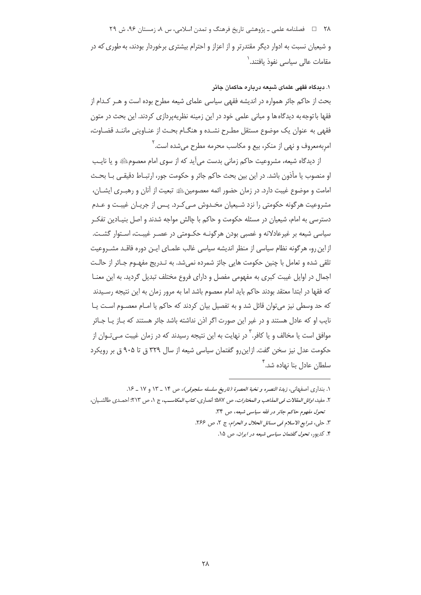۲۸ = = فصلنامه علمی ـ یژوهشی تاریخ فرهنگ و تمدن اسلامی، س ۸، زمستان ۹۶، ش ۲۹ و شیعیان نسبت به ادوار دیگر مقتدرتر و از اعزاز و احترام بیشتری برخوردار بودند، به طوری که در مقامات عالی سیاسی نفوذ یافتند.<sup>\</sup>

۱. دیدگاه فقهی علمای شیعه درباره حاکمان جائر بحث از حاکم جائر همواره در اندیشه فقهی سیاسی علمای شیعه مطرح بوده است و هـر کـدام از فقها با توجه به دیدگاه ها و مبانی علمی خود در این زمینه نظریهپردازی کردند. این بحث در متون فقهی به عنوان یک موضوع مستقل مطـرح نشـده و هنگـام بحـث از عنـاوینی ماننـد قضـاوت، امربهمعروف و نهی از منکر، بیع و مکاسب محرمه مطرح می شده است. آ

از دیدگاه شیعه، مشروعیت حاکم زمانی بدست می آید که از سوی امام معصوم ﷺ و یا نایب او منصوب یا مأذون باشد. در این بین بحث حاکم جائر و حکومت جور، ارتبـاط دقیقـی بـا بحـث امامت و موضوع غیبت دارد. در زمان حضور ائمه معصومین ﷺ تبعیت از آنان و رهب ری ایشــان، مشروعیت هرگونه حکومتی را نزد شـیعیان مخـدوش مـی کـرد. پـس از جریـان غیبـت و عـدم دسترسی به امام، شیعیان در مسئله حکومت و حاکم با چالش مواجه شدند و اصل بنیـادین تفکـر سیاسی شیعه بر غیرعادلانه و غصبی بودن هرگونـه حکـومتی در عصـر غیبـت، اسـتوار گشـت. از این رو، هرگونه نظام سیاسی از منظر اندیشه سیاسی غالب علمـای ایـن دوره فاقـد مشـروعیت تلقی شده و تعامل با چنین حکومت هایی جائز شمرده نمیشد. به تـدریج مفهـوم جـائر از حالـت اجمال در اوایل غیبت کبری به مفهومی مفصل و دارای فروع مختلف تبدیل گردید. به این معنـا که فقها در ابتدا معتقد بودند حاکم باید امام معصوم باشد اما به مرور زمان به این نتیجه رسـیدند که حد وسطی نیز می توان قائل شد و به تفصیل بیان کردند که حاکم یا امـام معصـوم اسـت یـا نایب او که عادل هستند و در غیر این صورت اگر اذن نداشته باشد جائر هستند که بـاز یـا جـائر موافق است یا مخالف و یا کافر.<sup>٬</sup> در نهایت به این نتیجه رسیدند که در زمان غیبت مــ<sub>ـه</sub> *تـ*وان از حکومت عدل نیز سخن گفت. ازاین رو گفتمان سیاسی شیعه از سال ۳۲۹ ق تا ۹۰۵ ق بر رویکرد سلطان عادل بنا نهاده شد.<sup>۲</sup>

١. بنداری اصفهانی، *زبدة النصره و نخبة العصرة (تاريخ سلسله سلجوقی)*، ص ١۴ \_ ١٣ و ١٧ \_ ١۶.

٢. مفيد، *اوائل المقالات في المذاهب و المختارات*، ص ٥٨٧؛ انصارى، كتا*ب المكاسب*، ج ١، ص ٢١٣؛ احمـدى طالشـيان، تحول مفهوم حاكم جائر در فقه سياسي شيعه، ص ٣٤.

٣. حلي، شرايع الاسلام في مسائل الحلال و الحرام، ج ٢، ص ٢۶۶.

۴. کدیور، تح*ول گفتمان سیاسی شیعه در ایران*، ص ۱۵.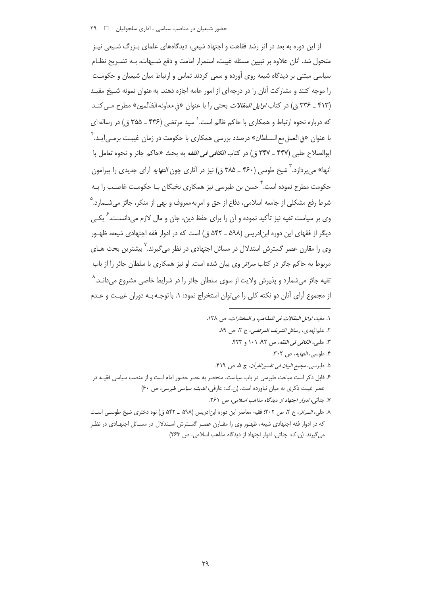## ۔<br>حضور شیعیان در مناصب سیاسے −اداری سلجوقیان ۲۹

از این دوره به بعد در اثر رشد فقاهت و اجتهاد شیعی، دیدگاههای علمای بـزرگ شـیعی نیـز متحول شد. آنان علاوه بر تبیین مسئله غیبت، استمرار امامت و دفع شـبهات، بـه تشـریح نظـام سیاسی مبتنی بر دیدگاه شیعه روی آورده و سعی کردند تماس و ارتباط میان شیعیان و حکومـت را موجه کنند و مشارکت آنان را در درجه ای از امور عامه اجازه دهند. به عنوان نمونه شـیخ مفیـد (۴۱۳ \_ ۳۳۶ ق) در كتاب *اوايل المقالات* بحثي را با عنوان «في معاونه الظالمين» مطرح مبي كنـد که درباره نحوه ارتباط و همکاری با حاکم ظالم است. ٰ سید مرتضی (۴۳۶ ـ ۳۵۵ ق) در رساله ای با عنوان «في العمل مع السـلطان» درصدد بررسي همكاري با حكومت در زمان غيبـت برمـي]يـد.<sup>٢</sup> ابوالصلاح حلبي (۴۴۷ \_ ۳۴۷ ق) در كتاب *الكافي في الفقه* به بحث «حاكم جائر و نحوه تعامل با آنها» می پردازد. <sup>۳</sup> شیخ طوسی (۴۶۰ ــ ۳۸۵ ق) نیز در آثاری چون *النهایه* آرای جدیدی را پیرامون حکومت مطرح نموده است.<sup>۴</sup> حسن بن طبرسی نیز همکاری نخبگان بـا حکومـت غاصـب را بـه شرط رفع مشکلی از جامعه اسلامی، دفاع از حق و امر به معروف و نهی از منکر، جائز می شــمارد.<sup>۵</sup> وی بر سیاست تقیه نیز تأکید نموده و آن را برای حفظ دین، جان و مال لازم می دانسـت. <sup>۶</sup> یکــی دیگر از فقهای این دوره ابن ادریس (۵۹۸ ــ ۵۴۲ ق) است که در ادوار فقه اجتهادی شیعه، ظهـور وی را مقارن عصر گسترش استدلال در مسائل اجتهادی در نظر میگیرند.' بیشترین بحث هـای مربوط به حاکم جائر در کتاب *سرائر* وی بیان شده است. او نیز همکاری با سلطان جائر را از باب تقیه جائز میشمارد و پذیرش ولایت از سوی سلطان جائر را در شرایط خاصی مشروع میدانـد.^ از مجموع آرای آنان دو نکته کلی را می توان استخراج نمود: ۱. با توجـه بـه دوران غیبـت و عـدم

١. مفيد، اوائل المقالات في المذاهب و المختارات، ص ١٣٨. ٢. علم الهدى، رسائل الشريف المرتضى، ج ٢، ص ٨٩. ٣. حلبي، الكافي في الفقه، ص ٩٢، ١٠١ و ۴۲۳. ۴. طوسی، *النهایه*، ص ۳۰۲. ۵. طبرسی، *مجمع البیان فی تفسیرالقرآن*، ج ۵، ص ۴۱۹. ۶ـ قابل ذکر است مباحث طبرسی در باب سیاست، منحصر به عصر حضور امام است و از منصب سیاسی فقیـه در عصر غیبت ذکری به میان نیاورده است. (ن.ک: عارفی، *اندیشه سیاسی طبرسی*، ص ۶۰) ۷. جناتي، *ادواد اجتهاد از ديدگاه مذاهب اسلامي*، ص ۲۶۱. ٨. حلي، *السرائر*، ج ٢، ص ٢٠٢؛ فقيه معاصر اين دوره ابن ادريس (٥٩٨ \_ ٥۴٢ ق) نوه دخترى شيخ طوسـى اسـت که در ادوار فقه اجتهادی شیعه، ظهـور وی را مقـارن عصـر گسـترش اسـتدلال در مسـائل اجتهـادی در نظـر می گیرند. (ن.ک: جناتی، ادوار اجتهاد از دیدگاه مذاهب اسلامی، ص ٢۶٣)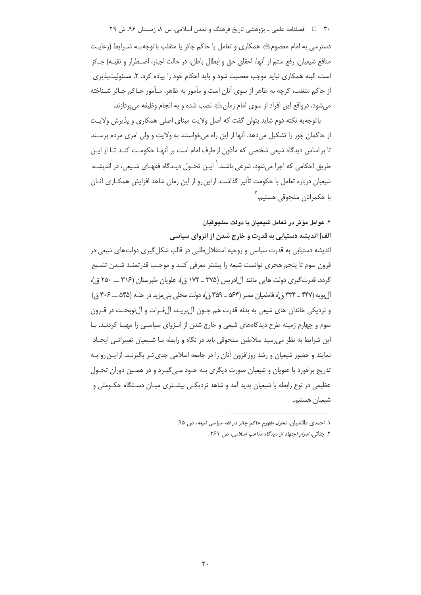۳۰٪ = فصلنامه علمي ـ پژوهشي تاريخ فرهنگ و تمدن اسلامي، س ۸، زمستان ۹۶، ش ۲۹

دسترسی به امام معصومﷺ همکاری و تعامل با حاکم جائر یا متغلب با توجه بـه شـرایط (رعایـت منافع شيعيان، رفع ستم از آنها، احقاق حق و ابطال باطل، در حالت اجبار، اضـطرار و تقيـه) جـائز است، البته همکاری نباید موجب معصیت شود و باید احکام خود را پیاده کرد. ۲. مسئولیتپذیری از حاکم متغلب، گرچه به ظاهر از سوی آنان است و مأمور به ظاهر، مـأمور حـاکم جـائر شـناخته مي شود، درواقع اين افراد از سوى امام زمان ﷺ نصب شده و به انجام وظيفه مي پردازند.

باتوجه به نکته دوم شاید بتوان گفت که اصل ولایت مبنای اصلی همکاری و پذیرش ولایت از حاکمان جور را تشکیل میدهد. آنها از این راه میخواستند به ولایت و ولی امری مردم برسند تا براساس دیدگاه شیعی شخصی که مأذون از طرف امام است بر آنهـا حکومـت کنـد تـا از ایـن طریق احکامی که اجرا می شود، شرعی باشند.<sup>\</sup> ایـن تحـول دیـدگاه فقهـای شـی*عی*، در اندیشـه شیعیان درباره تعامل با حکومت تأثیر گذاشت. ازاین رو از این زمان شاهد افزایش همکـاری آنـان با حکمرانان سلجوقي هستيم.<sup>۲</sup>

۲. عوامل مؤثر در تعامل شیعیان با دولت سلجوقیان

الف) اندیشه دستیابی به قدرت و خارج شدن از انزوای سیاسی

اندیشه دستیابی به قدرت سیاسی و روحیه استقلال طلبی در قالب شکل گیری دولتهای شیعی در قرون سوم تا پنجم هجری توانست شیعه را بیشتر معرفی کنـد و موجـب قدرتمنـد شـدن تشـیع گردد. قدرتگیری دولت هایی مانند آل|دریس (۳۷۵ ـ ۱۷۲ ق)، علویان طبرستان (۳۱۶ ــ ۲۵۰ ق)، آل ہویه (۴۴۷ ــ ۳۳۴ ق)، فاطمیان مصر (۵۶۴ ــ ۳۵۹ ق)، دولت محلی بنی مزید در حلـه (۵۴۵ ـــ ۴۰۶ ق) و نزدیکی خاندان های شیعی به بدنه قدرت هم چـون آلِبریـد، آلِفـرات و آلِنوبخـت در قـرون سوم و چهارم زمینه طرح دیدگاههای شیعی و خارج شدن از انـزوای سیاسـی را مهیـا کردنـد. بـا این شرایط به نظر می٫رسید سلاطین سلجوقی باید در نگاه و رابطه بـا شـیعیان تغییراتـی ایجـاد نمایند و حضور شیعیان و رشد روزافزون آنان را در جامعه اسلامی جدی تـر بگیرنـد. ازایـن رو بـه تدریج برخورد با علویان و شیعیان صورت دیگری بـه خـود مـی گیـرد و در همـین دوران تحـول عظیمی در نوع رابطه با شیعیان پدید آمد و شاهد نزدیکـی بیشـتری میـان دسـتگاه حکـومتی و شيعيان هستيم.

۱. احمدی طالشیان، ت*حول مفهوم حاکم حائر در فقه سیاسی شیعه*، ص ۹۵. ۲. جناتي، *ادوار اجتهاد از ديدگاه مذاهب اسلامي،* ص ۲۶۱.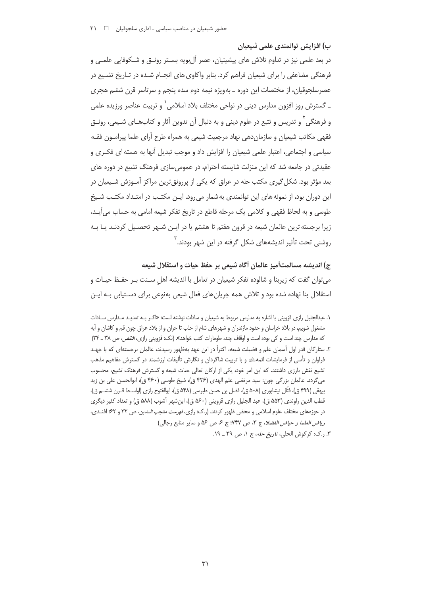ب) افزایش توانمندی علمی شیعیان

در بعد علمی نیز در تداوم تلاش های پیشینیان، عصر آل بویه بسـتر رونــق و شــکوفایی علمــی و فرهنگی مضاعفی را برای شیعیان فراهم کرد. بنابر واکاوی های انجـام شـده در تـاریخ تشـیع در عصرسلجوقیان، از مختصات این دوره ــ بهویژه نیمه دوم سده پنجم و سرتاسر قرن ششم هجری ـ گسترش روز افزون مدارس دینی در نواحی مختلف بلاد اسلامی` و تربیت عناصر ورزیده علمی و فرهنگی ٔ و تدریس و تتبع در علوم دینی و به دنبال آن تدوین آثار و کتابهـای شـیعی، رونـق فقهی مکاتب شیعیان و سازمان دهی نهاد مرجعیت شیعی به همراه طرح آرای علما پیرامـون فقـه سیاسی و اجتماعی، اعتبار علمی شیعیان را افزایش داد و موجب تبدیل آنها به هسته ای فکـری و عقیدتی در جامعه شد که این منزلت شایسته احترام، در عمومی سازی فرهنگ تشیع در دوره های بعد مؤثر بود. شکل گیری مکتب حله در عراق که یکی از پررونق ترین مراکز آمـوزش شـیعیان در این دوران بود، از نمونه های این توانمندی به شمار می رود. ایــن مکتـب در امتـداد مکتـب شـیخ طوسی و به لحاظ فقهی و کلامی یک مرحله قاطع در تاریخ تفکر شیعه امامی به حساب می آیـد، زیرا برجسته ترین عالمان شیعه در قرون هفتم تا هشتم یا در ایـن شـهر تحصـیل کردنـد یـا بـه روشنی تحت تأثیر اندیشههای شکل گرفته در این شهر بودند. ``

ج) انديشه مسالمتأميز عالمان أكاه شيعي بر حفظ حيات و استقلال شيعه میتوان گفت که زیربنا و شالوده تفکر شیعیان در تعامل با اندیشه اهل سـنت بـر حفـظ حیـات و استقلال بنا نهاده شده بود و تلاش همه جریان های فعال شیعی بهنوعی برای دسـتیابی بــه ایــن

۱. عبدالجلیل رازی قزوینی با اشاره به مدارس مربوط به شیعیان و سادات نوشته است: «اگـر بـه تعدیـد مـدارس سـادات مشغول شويم، در بلاد خراسان و حدود مازندران و شهرهاى شام از حلب تا حران و از بلاد عراق چون قم و كاشان و آبه که مدارس چند است و کی بوده است و اوقاف چند، طومارات کتب خواهد». (نک: قزوینی رازی، *النقض، ص ۳*۸ ـ ۳۴) ۲. ستارگان قدر اول آسمان علم و فضیلت شیعه، اکثراً در این عهد بهظهور رسیدند، عالمان برجستهای که با جهـد فراوان و تأسی از فرمایشات ائمهﷺ و با تربیت شاگردان و نگارش تألیفات ارزشمند در گسترش مفاهیم مذهب تشیع نقش بارزی داشتند. که این امر خود، یکی از ارکان تعالی حیات شیعه و گسترش فرهنگ تشیع، محسوب میگردد. عالمان بزرگی چون: سید مرتضی علم الهدی (۴۲۶ ق)، شیخ طوسی (۴۶۰ ق)، ابوالحسن علی بن زید بيهقي (۴۹۹ ق)، فتّال نيشابوري (۵۰۸ ق)، فضل بن حسن طبرسي (۵۴۸ ق)، ابوالفتوح رازي (اواسـط قـرن ششــم ق)، قطب الدين راوندي (۵۵۳ ق)، عبد الجليل رازي قزويني (۵۶۰ ق)، ابن شهر آشوب (۵۸۸ ق) و تعداد كثير ديگري در حوزههای مختلف علوم اسلامی و محض ظهور کردند. (ر.ک: رازی، *فهرست منتجب السدین*، ص ۳۲ و ۶۲؛ افنـدی، رياض العلما و حياض الفضلا، ج ٣، ص ٣٧٧: ج ع ص ٥٤ و ساير منابع رجالي)

٣. ر.ک: کرکوش الحلی، *تاریخ حله*، ج ١، ص ٣٩ ـ ١٩.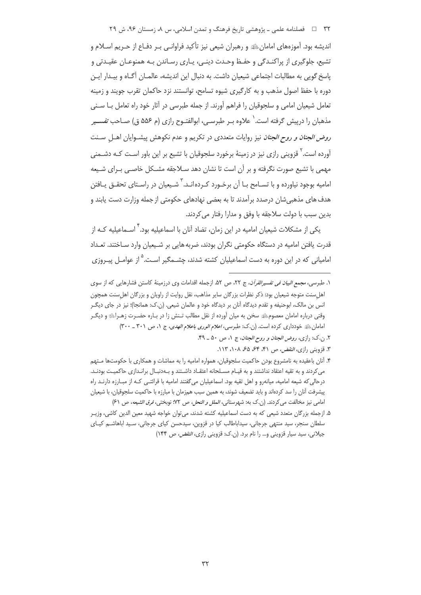۳۲ فصلنامه علمی ـ یژوهشی تاریخ فرهنگ و تمدن اسلامی، س ۸، زمستان ۹۶، ش ۲۹

اندیشه بود. آموزههای امامانﷺ و رهبران شی*عی* نیز تأکید فراوانـی بـر دفـاع از حـریم اسـلام و تشيع، جلوگيري از پراکنـدگي و حفـظ وحـدت دينـي، پـاري رسـاندن بـه همنوعـان عقيـدتي و یاسخ گویی به مطالبات اجتماعی شیعیان داشت. به دنبال این اندیشه، عالمـان آگـاه و بیـدار ایـن دوره با حفظ اصول مذهب و به كارگیری شیوه تسامح، توانستند نزد حاكمان تقرب جویند و زمینه تعامل شیعیان امامی و سلجوقیان را فراهم آورند. از جمله طبرسی در آثار خود راه تعامل بـا سـنی مذهبان را درپیش گرفته است.<sup>\</sup> علاوه بـر طبرسـي، ابوالفتـوح رازي (م ۵۵۶ ق) صــاحب *تفســير* ر*وض الجنان و روح الجنان* نیز روایات متعددی در تکریم و عدم نکوهش پیشـوایان اهـل سـنت آورده است.<sup>۲</sup> قزوینی رازی نیز در زمینهٔ برخورد سلجوقیان با تشیع بر این باور اسـت کـه دشـمنی مهمی با تشیع صورت نگرفته و بر آن است تا نشان دهد سـلاجقه مشـكل خاصـی بـرای شـیعه امامیه بوجود نیاورده و با تسـامح بـا آن برخـورد کـرده|نـد. ٌ شـیعیان در راسـتای تحقــق پـافتن هدف های مذهبی شان درصدد برآمدند تا به بعضی نهادهای حکومتی از جمله وزارت دست یابند و بدين سبب با دولت سلاجقه با وفق و مدارا رفتار می کردند.

یکی از مشکلات شیعیان امامیه در این زمان، تضاد آنان با اسماعیلیه بود. <sup>۲</sup> اســماعیلیه کــه از قدرت یافتن امامیه در دستگاه حکومتی نگران بودند، ضربه هایی بر شـیعیان وارد سـاختند. تعـداد امامیانی که در این دوره به دست اسماعیلیان کشته شدند، چشــمگیر اسـت.<sup>۵</sup> از عوامــل پیــروزی

- ۲. ن.ک: رازی، *روض الجنان و روح الجنان*، ج ۱، ص ۵۰ \_ ۴۹.
	- ٣. قزويني رازي، *النقض، ص ۴۱، ۶۴، ۶۵، ۱۰۸، ۱۱۳.*
- ۴. آنان باعقیده به نامشروع بودن حاکمیت سلجوقیان، همواره امامیه را به مماشات و همکاری با حکومتها مـتهم می کردند و به تقیه اعتقاد نداشتند و به قیـام مسـلحانه اعتقـاد داشـتند و بـهدنبـال برانـدازی حاکمیـت بودنـد. درحالی که شیعه امامیه، میانهرو و اهل تقیه بود. اسماعیلیان میگفتند امامیه با قرائتـی کـه از مبـارزه دارنــد راه پیشرفت آنان را سد کردهاند و باید تضعیف شوند، به همین سبب همزمان با مبارزه با حاکمیت سلجوقیان، با شیعیان امامی نیز مخالفت می کردند. (ن.ک به: شهرستانی، *الملل و النحل*، ص ۷۲: نوبختی، *فرق الشیعه*، ص ۶۱)
- ۵. ازجمله بزرگان متعدد شیعی که به دست اسماعیلیه کشته شدند، می¤وان خواجه شهید معین الدین کاشی، وزیـر سلطان سنجر، سید منتهی جرجانی، سیداباطالب کیا در قزوین، سیدحسن کیای جرجانی، سـید اباهاشـم کیـای جیلانی، سید سیار قزوینی و… را نام برد. (ن.ک: قزوینی رازی، *النقض، ص* ۱۴۴)

۱. طبرسی، *مجمع البیان فی تفسیرالقرآن*، ج ۲۲، ص ۵۲. ازجمله اقدامات وی درزمینهٔ کاستن فشارهایی که از سوی اهل سنت متوجه شیعیان بود: ذکر نظرات بزرگان سایر مذاهب، نقل روایت از راویان و بزرگان اهل سنت همچون انس بن مالک، ابوحنیفه و تقدم دیدگاه آنان بر دیدگاه خود و عالمان شیعی. (ن.ک: همانجا)؛ نیز در جای دیگـر وقتی درباره امامان معصومﷺ سخن به میان آورده از نقل مطالب تـنش زا در بـاره حضـرت زهـراﷺ و دیگـر امامان عليه خودداري كرده است. (ن.ك: طبرسي، اعلام الورى باعلام الهدى، ج ١، ص ٣٠١ ـ ٣٠٠)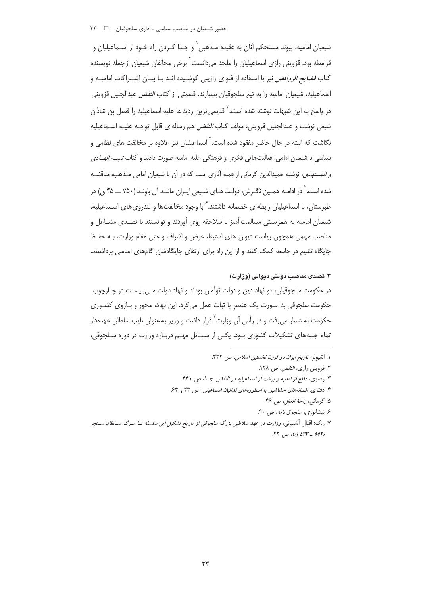شیعیان امامیه، پیوند مستحکم آنان به عقیده مـذهبی` و جـدا کـردن راه خـود از اسـماعیلیان و قرامطه بود. قزوینی رازی اسماعیلیان را ملحد می،دانست ٔ برخی مخالفان شیعیان از جمله نویسنده کتاب *فضایع الروافض* نیز با استفاده از فتوای رازینی کوشـیده انـد بـا بیـان اشـتراکات امامیـه و اسماعیلیه، شیعیان امامیه را به تیغ سلجوقیان بسیارند. قسمتی از کتاب *النقض* عبدالجلیل قزوینی در پاسخ به این شبهات نوشته شده است.<sup>۳</sup> قدیمی ترین ردیهها علیه اسماعیلیه را فضل بن شاذان شیعی نوشت و عبدالجلیل قزوینی، مولف کتاب *النقض* هم رسالهای قابل توجـه علیـه اسـماعیلیه نگاشت که البته در حال حاضر مفقود شده است. <sup>۲</sup> اسماعیلیان نیز علاوه بر مخالفت های نظامی و سیاسی با شیعیان امامی، فعالیتهایی فکری و فرهنگی علیه امامیه صورت دادند و کتاب *تنیب الهـادی و المستهدى*، نوشته حميدالدين كرماني ازجمله آثاري است كه در آن با شيعيان امامي مـذهب، مناقشــه شده است. <sup>۵</sup> در ادامـه همـین نگـرش، دولـت هـای شـیعی ایـران ماننـد آل باونـد (۷۵۰ ـــ ۴۵ ق) در طبرستان، با اسماعیلیان رابطهای خصمانه داشتند. <sup>۶</sup> با وجود مخالفتها و تندروی های اســماعیلیه، شیعیان امامیه به همزیستی مسالمت آمیز با سلاجقه روی آوردند و توانستند با تصـدی مشـاغل و مناصب مهمی همچون ریاست دیوان های استیفا، عرض و اشراف و حتی مقام وزارت، بـه حفـظ جایگاه تشیع در جامعه کمک کنند و از این راه برای ارتقای جایگاهشان گامهای اساسی برداشتند.

#### ۳. تصدی مناصب دولتی دیوانی (وزارت)

در حکومت سلجوقیان، دو نهاد دین و دولت توأمان بودند و نهاد دولت مـی،بایسـت در چـارچوب حکومت سلجوقی به صورت یک عنصر با ثبات عمل می کرد. این نهاد، محور و بـازوی کشـوری حکومت به شمار می فت و در رأس آن وزارت<sup>۷</sup> قرار داشت و وزیر به عنوان نایب سلطان عهدهدار تمام جنبه های تشکیلات کشوری بـود. یکـی از مسـائل مهـم دربـاره وزارت در دوره سـلجوقی،

- ١. اشپولر، تاريخ ايران در قرون نخستين اسلامي، ص ٣٣٢.
	- ٢. قزويني رازي، *النقض،* ص ١٢٨.
- ٣. رضوى، دفاع از اماميه و برائت از اسماعيليه در النقض، ج ١، ص ۴۴١.
- ۴. دفتری، افسانههای حشاشین یا اسطورههای فدائیان اسماعیلی، ص ۳۳ و ۶۴.
	- ۵. كرماني، راحة العقل، ص ۴۶.
	- ۶. نیشابوری، *سلجوق نامه*، ص ۴۰.
- ۷. <sub>د</sub>.ک: اقبال آشتیانی، *وزارت در عهد سلاطین بزرگ سلجوقی از تاریخ تشکیل این سلسله تــا مــرگ ســلطان ســنجر (٥٥٢ \_ ٤٣٣ ق)*، ص ٢٢.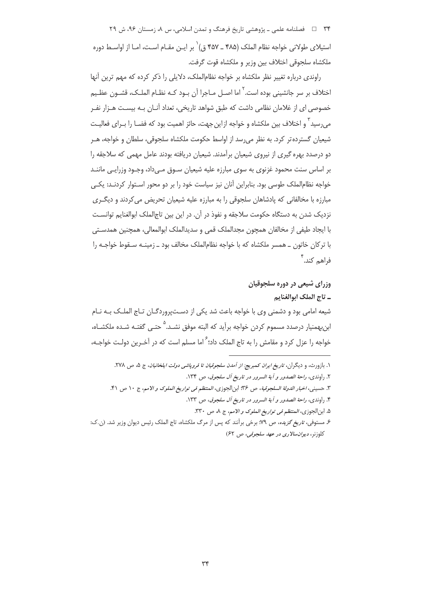۳۴٪ = فصلنامه علمي ـ پژوهشي تاريخ فرهنگ و تمدن اسلامي، س ٨، زمستان ۹۶، ش ۲۹ استیلای طولانی خواجه نظام الملک (۴۸۵ ـ ۴۵۷ ق)` بر ایـن مقـام اسـت، امـا از اواسـط دوره ملكشاه سلجوقى اختلاف بين وزير و ملكشاه قوت گرفت.

راوندی درباره تغییر نظر ملکشاه بر خواجه نظام|لملک، دلایلی را ذکر کرده که مهم ترین آنها اختلاف بر سر جانشینی بوده است.<sup>۲</sup> اما اصـل مـاجرا آن بـود کـه نظـام الملـک، قشـون عظـیم خصوصی ای از غلامان نظامی داشت که طبق شواهد تاریخی، تعداد آنـان بـه بیسـت هـزار نفـر می٫رسید <sup>۳</sup> و اختلاف بین ملکشاه و خواجه از این جهت، حائز اهمیت بود که فضـا را بــرای فعالیــت شیعیان گسترده تر کرد. به نظر می رسد از اواسط حکومت ملکشاه سلجوقی، سلطان و خواجه، هــر دو درصدد بهره گیری از نیروی شیعیان برآمدند. شیعیان دریافته بودند عامل مهمی که سلاجقه را بر اساس سنت محمود غزنوی به سوی مبارزه علیه شیعیان سـوق مـی۱داد، وجـود وزرایـی ماننــد خواجه نظام|لملک طوسی بود. بنابراین آنان نیز سیاست خود را بر دو محور اسـتوار کردنــد: یکــی مبارزه با مخالفانی که پادشاهان سلجوقی را به مبارزه علیه شیعیان تحریض می کردند و دیگ ری نزديک شدن به دستگاه حکومت سلاجقه و نفوذ در آن. در اين بين تاج|لملک ابوالغنايم توانسـت با ایجاد طیفی از مخالفان همچون مجدالملک قمی و سدیدالملک ابوالمعالی، همچنین همدستی با ترکان خاتون ــ همسر ملکشاه که با خواجه نظام|لملک مخالف بود ــ زمینــه سـقوط خواجــه را فاهم كند.<sup>۴</sup>

> وزرای شیعی در دوره سلجوقیان \_ تاج الملك ابوالغنايم

شیعه امامی بود و دشمنی وی با خواجه باعث شد یکی از دستپروردگـان تـاج الملـک بـه نـام ابن بهمنیار درصدد مسموم کردن خواجه برآید که البته موفق نشـد.<sup>۵</sup> حتـی گفتـه شـده ملکشـاه، خواجه را عزل کرد و مقامش را به تاج الملک داد؛ <sup>۶</sup> اما مسلم است که در آخـرین دولـت خواجـه،

۵. ابنالجوزي، *المنتظم في تواريخ الملوك و الامم*، ج ٨، ص ٣٣٠.

۱. بازورث، و دیگران، *تاریخ ایران کمبریج: از آمدن سلجوقیان تا فروپاشی دولت ایلخانیان*، ج ۵، ص ۲۷۸. ٢. راوندي، راحة الصدور و آية السرور در تاريخ آل سلجوق، ص ١٣٤.

٣. حسيني، اخبار الدولة السلجوقية، ص ٣۶: ابن|لجوزي، المنتظم في تواريخ الملوك و الامم، ج ١٠ ص ۴١.

۴. راوندي، راحة الصدور و آية السرور در تاريخ آل سلجوق، ص ١٣٣.

۶ـ مستوفى، *تاريخ گزيده، ص* ۹۹؛ برخى برآنند كه پس از مرگ ملكشاه، تاج الملك رئيس ديوان وزير شد. (ن.ك: كلوزنر، ديوان سالاري در عهد سلجوقي، ص ۶۲)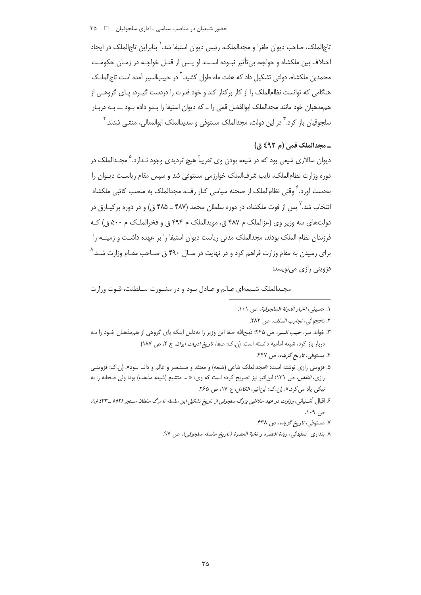حضور شیعیان در مناصب سیاسی ـ اداری سلجوقیان د ۳۵ ه

تاج|لملک، صاحب دیوان طغرا و مجدالملک، رئیس دیوان استیفا شد.` بنابراین تاج|لملک در ایجاد اختلاف بین ملکشاه و خواجه، بی تأثیر نبـوده اسـت. او پـس از قتـل خواجـه در زمـان حکومـت محمدبن ملکشاه، دولتی تشکیل داد که هفت ماه طول کشید.<sup>۲</sup> در حبیبالسیر آمده است تاج|لملـک هنگامی که توانست نظامالملک را از کار برکنار کند و خود قدرت را دردست گیـرد، پـای گروهـی از هم مذهبان خود مانند مجدالملک ابوالفضل قمی را ـ که دیوان استیفا را بـدو داده بـود ــ بـه دربـار سلجوقیان باز کرد. <sup>۳</sup> در این دولت، مجدالملک مستوفی و سدیدالملک ابوالمعالی، منشی شدند. <sup>۳</sup>

## ـ مجدالملک قمی (م ٤٩٢ ق)

دیوان سالاری شیعی بود که در شیعه بودن وی تقریباً هیچ تردیدی وجود نـدارد.<sup>۵</sup> مجـدالملک در دوره وزارت نظام|لملک، نایب شرف|لملک خوارزمی مستوفی شد و سپس مقام ریاست دیـوان را بهدست آورد. ً وقتی نظام|لملک از صحنه سیاسی کنار رفت، مجدالملک به منصب کاتبی ملکشاه انتخاب شد. `` پس از فوت ملکشاه، در دوره سلطان محمد (۴۸۷ ـ ۴۸۵ ق) و در دوره برکیـارق در دولتهای سه وزیر وی (عزالملک م ۴۸۷ ق، مویدالملک م ۴۹۴ ق و فخرالملک م ۵۰۰ ق) ک فرزندان نظام الملک بودند، مجدالملک مدتی ریاست دیوان استیفا را بر عهده داشـت و زمینـه را برای رسیدن به مقام وزارت فراهم کرد و در نهایت در سـال ۴۹۰ ق صـاحب مقـام وزارت شـد.^ قزويني رازي مي نويسد:

مجـدالملک شـيعهاى عـالم و عـادل بـود و در مشـورت سـلطنت، قـوت وزارت

٢. نخجواني، تج*ارب السلف*، ص ٢٨٢.

- ۳. خواند میر، *حبیب السیر*، ص ۲۴۵؛ ذبیحالله صفا این وزیر را بهدلیل اینکه پای گروهی از هممذهبان خـود را بـه دربار باز کرد، شیعه امامیه دانسته است. (ن.ک: صفا، ت*اریخ ادبیات ایران*، ج ۲، ص ۱۸۷)
	- ۴. مستوفی، تاریخ گزیده، ص ۴۴۷.
- ۵. قزوینی رازی نوشته است: «مجدالملک شاعی (شیعه) و معتقد و مستبصر و عالم و دانـا بـود». (ن.ک: قزوینـی رازي، *النقض، ص ١*٣١؛ ابن|ثير نيز تصريح كرده است كه وي: « ... متشيع (شيعه مذهب) بود؛ ولي صحابه را به نیکی یاد می کرد.». (ن.ک: ابن اثیر، *الکامل*، ج ١٧، ص ٢۶۵.
- ع اقبال أشتياني، وزارت در عهد سلاطين بزرگ سلجوقى از تاريخ تشكيل اين سلسله تا مرگ سلطان سنجر (٥٥٢ ـ ٤٣٣ ق)، ص ۱۰۹.
	- ۷. مستوف*ي، تاريخ گزيده، ص ۴*۳۸.
	- ٨. بنداري اصفهاني، ز*بدة النصره و نخبة العصرة (تاريخ سلسله سلجوقي)*، ص ٩٧.

۱. حسيني، *اخبار الدولة السلجوقية*، ص ۱۰۱.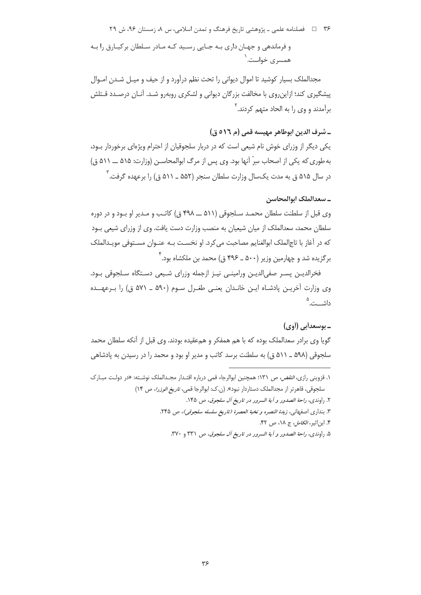# ۳۶٪ ه ه اسلامه علمي ـ پژوهشي تاريخ فرهنگ و تمدن اسلامي، س ۸، زمستان ۹۶، ش ۲۹ و فرماندهی و جهـان داری بـه جـایی رسـید کـه مـادر سـلطان برکیـارق را بـه همسری خواست. ۱

مجدالملک بسیار کوشید تا اموال دیوانی را تحت نظم درآورد و از حیف و میـل شـدن امـوال پیشگیری کند؛ ازاین٫وی با مخالفت بزرگان دیوانی و لشکری روبه٫و شـد. آنـان درصـدد قـتلش برآمدند و وی را به الحاد متهم کردند.<sup>۲</sup>

## ــ شرف الدين ابوطاهر مهيسه قمي (م ٥١٦ ق)

یکی دیگر از وزرای خوش نام شیعی است که در دربار سلجوقیان از احترام ویژهای برخوردار بـود، به طوری که یکی از اصحاب سِرّ آنها بود. وی پس از مرگ ابوالمحاسـن (وزارت: ۵۱۵ ـــ ۵۱۱ ق) در سال ۵۱۵ ق به مدت یکسال وزارت سلطان سنجر (۵۵۲ ــ ۵۱۱ ق) را برعهده گرفت. ٌ

## ـ سعدالملک ابوالمحاسن

وی قبل از سلطنت سلطان محمـد سـلجوقی (۵۱۱ ـــ ۴۹۸ ق) کاتـب و مـدیر او بـود و در دوره سلطان محمد، سعدالملک از میان شیعیان به منصب وزارت دست یافت. وی از وزرای شیعی بـود كه در آغاز با تاجالملك ابوالغنايم مصاحبت مي كرد. او نخسـت بـه عنـوان مسـتوفى مويـدالملك برگزیده شد و چهارمین وزیر (۵۰۰ ـ ۴۹۶ ق) محمد بن ملکشاه بود. ٔ

فخرالديـن پسـر صفىالديـن ورامينـى نيـز ازجمله وزراى شـيعى دسـتگاه سـلجوقى بـود. وی وزارت آخریـن پادشـاه ایـن خانـدان یعنـی طغـرل سـوم (۵۹۰ ـ ۵۷۱ ق) را بـرعهــده داشــت.<sup>۵</sup>

## ـ بوسعدأبي (أوي)

گویا وی برادر سعدالملک بوده که با هم همفکر و همءقیده بودند. وی قبل از آنکه سلطان محمد سلجوقی (۵۹۸ \_ ۵۱۱ ق) به سلطنت برسد کاتب و مدیر او بود و محمد را در رسیدن به پادشاهی

٢. راوندي، راحة الصدور و آية السرور در تاريخ آل سلجوق، ص ١۴۵.

- ۴. این اثبر، *الکامل*، ج ۱۸، ص ۴۲.
- ۵. راوندی، ر*احة الصدور و آية السرور در تاريخ آل سلجوق*، ص ۳۳۱ و ۳۷۰.

۱. قزوینی رازی، *النقض، ص ۱*۳۱؛ همچنین ابوالرجاء قمی درباره اقتـدار مجـدالملک نوشـته: «در دولـت مبـارک سلجوقي، قاهرتر از مجدالملك دستاردار نبود». (ن.ك: ابوالرجا قمي، تاريخ *الوزرا*، ص ١۴)

٣. بنداري اصفهاني، زبدة النصره و نخبة العصرة (تاريخ سلسله سلجوقي)، ص ٢۴۵.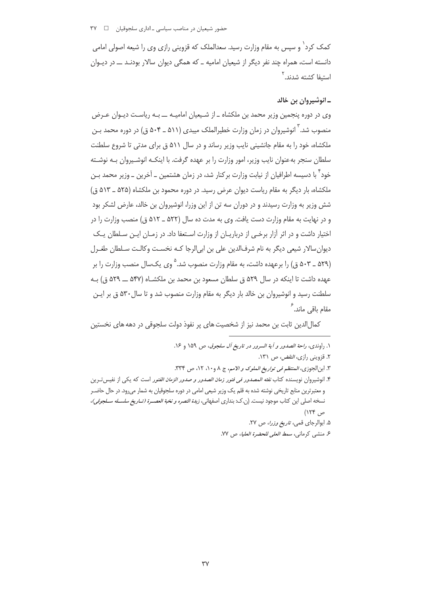کمک کرد` و سیس به مقام وزارت رسید. سعدالملک که قزوینی رازی وی را شیعه اصولی امامی دانسته است، همراه چند نفر دیگر از شیعیان امامیه ـ که همگی دیوان سالار بودنـد ـ در دیـوان استىفا كشته شدند.<sup>۲</sup>

#### ـ انوشيروان بن خالد

وی در دوره پنجمین وزیر محمد بن ملکشاه ـ از شـیعیان امامیـه ــ بـه ریاسـت دیـوان عـرض منصوب شد. ْ انوشیروان در زمان وزارت خطیرالملک میبدی (۵۱۱ ـ ۵۰۴ ق) در دوره محمد بـن ملکشاه، خود را به مقام جانشینی نایب وزیر رساند و در سال ۵۱۱ ق برای مدتی تا شروع سلطنت سلطان سنجر به عنوان نایب وزیر، امور وزارت را بر عهده گرفت. با اینکـه انوشـیروان بـه نوشـته خود ٌ با دسیسه اطرافیان از نیابت وزارت برکنار شد، در زمان هشتمین \_ آخرین \_ وزیر محمد بـن ملکشاه، بار دیگر به مقام ریاست دیوان عرض رسید. در دوره محمود بن ملکشاه (۵۲۵ ـ ۵۱۳ ق) شش وزیر به وزارت رسیدند و در دوران سه تن از این وزرا، انوشیروان بن خالد، عارض لشکر بود و در نهایت به مقام وزارت دست یافت. وی به مدت ده سال (۵۲۲ ـ ۵۱۲ ق) منصب وزارت را در اختیار داشت و در اثر آزار برخـی از درباریـان از وزارت اسـتعفا داد. در زمـان ایـن سـلطان یـک دیوان سالار شیعی دیگر به نام شرفالدین علی بن ابیالرجا کـه نخسـت وکالـت سـلطان طغـرل (۵۲۹ ــ ۵۰۳ ق) را برعهده داشت، به مقام وزارت منصوب شد.<sup>۵</sup> وی یکسال منصب وزارت را بر عهده داشت تا اینکه در سال ۵۲۹ ق سلطان مسعود بن محمد بن ملکشـاه (۵۴۷ ـــ ۵۲۹ ق) بـه سلطنت رسید و انوشیروان بن خالد بار دیگر به مقام وزارت منصوب شد و تا سال ۵۳۰ ق بر ایـن مقام باق*ی* ماند. <sup>۶</sup>

كمالالدين ثابت بن محمد نيز از شخصيت هاي پر نفوذ دولت سلجوقي در دهه هاي نخستين

١. راوندي، راحة الصدور و آية السرور در تاريخ آل سلجوق، ص ١٥٩ و ١٤. ٢. قزويني رازي، *النقض،* ص ١٣١. ٣. ابنالجوزي، *المنتظم في تواريخ الملوك و الامم*، ج ٨ و ١٠، ١٢، ص ٣٣٣. ۴. انوشیروان نویسنده کتاب *نفثه المصدور فی فتور زمان الصدور و صدور الزمان الفتور* است که یکی از نفیس *تـر*ین و معتبرترین منابع تاریخی نوشته شده به قلم یک وزیر شیعی امامی در دوره سلجوقیان به شمار می رود. در حال حاضـر نسخه اصلي اين كتاب موجود نيست. (ن.ك: بنداري اصفهاني، *زبدة النصره و نخبة العصـرة (تــاريخ سلســله ســلجوقي)*، ص ۱۲۴) ۵. ابوالرجای قمی، ت*اریخ وزرا*، ص ۲۷. ۶. منشى كرماني، سم*ط العلى للحضرة العليا*، ص ٧٧.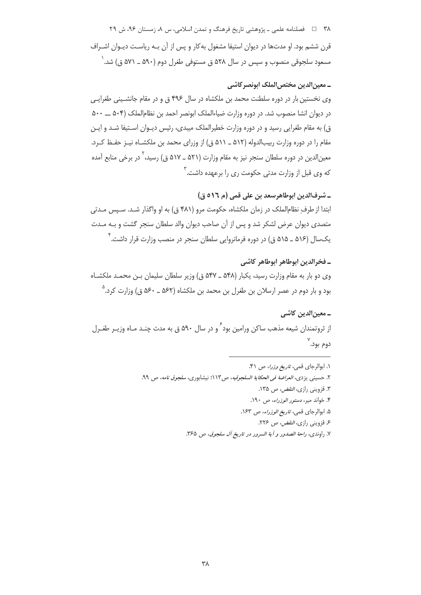۳۸ = ه فصلنامه علمي ـ پژوهشي تاريخ فرهنگ و تمدن اسلامي، س ۸، زمستان ۹۶، ش ۲۹ قرن ششم بود. او مدتها در دیوان استیفا مشغول به کار و پس از آن بـه ریاسـت دیـوان اشـراف مسعود سلجوقی منصوب و سپس در سال ۵۲۸ ق مستوفی طغرل دوم (۵۹۰ ــ ۵۷۱ ق) شد. `

## ـ معین الدین مختص الملک ابونصر کاشی

وی نخستین بار در دوره سلطنت محمد بن ملکشاه در سال ۴۹۶ ق و در مقام جانشینی طغرایی در دیوان انشا منصوب شد. در دوره وزارت ضیاءالملک ابونصر احمد بن نظام|لملک (۵۰۴ ـــ ۵۰۰ ق) به مقام طغرایی رسید و در دوره وزارت خطیرالملک میبدی، رئیس دیـوان اسـتیفا شـد و ایـن مقام را در دوره وزارت ربیبالدوله (۵۱۲ ــ ۵۱۱ ق) از وزرای محمد بن ملکشـاه نیــز حفــظ کــرد. معین|لدین در دوره سلطان سنجر نیز به مقام وزارت (۵۲۱ ـ ۵۱۷ ق) رسید، ٰ در برخی منابع آمده که وی قبل از وزارت مدتی حکومت ری را برعهده داشت.<sup>۲</sup>

\_ شرف|لدين ابوطاهرسعد بن على قمي (م ٥١٦ ق) ابتدا از طرفِ نظامِالملک در زمان ملکشاه، حکومت مرو (۴۸۱ ق) به او واگذار شـد. سـپس مـدتی متصدی دیوان عرض لشکر شد و پس از آن صاحب دیوان والد سلطان سنجر گشت و بـه مـدت یکسال (۵۱۶ ـ ۵۱۵ ق) در دوره فرمانروایی سلطان سنجر در منصب وزارت قرار داشت. ٔ

# ـ فخرالدين إبوطاهر إبوطاهر كاشي وی دو بار به مقام وزارت رسید، یکبار (۵۴۸ ـ ۵۴۷ ق) وزیر سلطان سلیمان بـن محمـد ملکشـاه بود و بار دوم در عصر ارسلان بن طغرل بن محمد بن ملکشاه (۵۶۲ ـ ۵۶۰ ق) وزارت کرد.<sup>۵</sup>

ـ معین الدین کاشی از ثروتمندان شیعه مذهب ساکن ورامین بود ّ و در سال ۵۹۰ ق به مدت چنـد مـاه وزیـر طغـرل دوم بود.``

- ١. ابوالرجاى قمى، تاريخ وزرا، ص ۴١. ۲. حسینی یزد*ی، العراضة فی الحکایة السلجوقیه، ص۱*۱۳؛ نیشابوری*، سلجوق نامه*، ص ۹۹. ۳. قزوینی راز*ی، النقض، ص ۱*۳۵. ۴. خواند میر، د*ستور الوزراء، ص ۱۹۰*. ۵. ابوالرجای قمی، *تاریخ الوزراء*، ص ۱۶۳. ۶. قزوینی رازی، *النقض، ص* ۲۲۶.
	- ٧. راوندي، راحة الصدور و آية السرور در تاريخ آل سلجوق، ص ٣۶۵.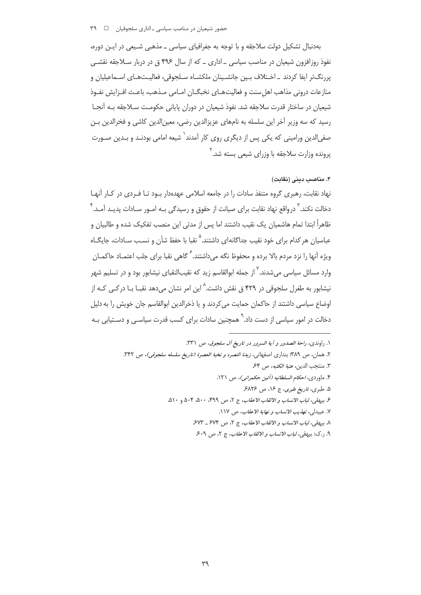## 

بهدنبال تشکیل دولت سلاجقه و با توجه به جغرافیای سیاسی ــ مذهبی شـیعی در ایـن دوره، نفوذ روزافزون شیعیان در مناصب سیاسی ـ اداری ـ که از سال ۴۹۶ ق در دربار سـلاجقه نقشـی پررنگ $\mathbb{F}_{\mathbf{t}}$  ایفا کردند ـ اخـتلاف بـین جانشـینان ملکشـاه سـلحوقی، فعالیـتهـای اسـماعیلیان و منازعات دروني مذاهب اهل سنت و فعاليت هـاي نخبگــان امــامي مــذهب، باعــث افــزايش نفـوذ شیعیان در ساختار قدرت سلاجقه شد. نفوذ شیعیان در دوران پایانی حکومـت سـلاجقه بـه آنجـا رسيد كه سه وزير آخر اين سلسله به نامهاي عزيزالدين رضي، معين(الدين كاشي و فخرالدين بـن صفی|لدین ورامینی که یکی پس از دیگری روی کار آمدند<sup>\</sup> شیعه امامی بودنـد و بـدین صـورت برونده وزارت سلاحقه با وزرای شیعی بسته شد.<sup>۲</sup>

## ۴. مناصب دینی (نقابت)

نهاد نقابت، رهبری گروه متنفذ سادات را در جامعه اسلامی عهدهدار بـود تـا فـردی در کـار آنهـا دخالت نکند.<sup>۳</sup> درواقع نهاد نقابت برای صیانت از حقوق و رسیدگی بـه امـور سـادات پدیـد آمـد.<sup>۴</sup> ظاهراً ابتدا تمام هاشمیان یک نقیب داشتند اما پس از مدتی این منصب تفکیک شده و طالبیان و عباسیان هر کدام برای خود نقیب جداگانهای داشتند.<sup>۵</sup> نقبا با حفظ شأن و نسـب سـادات، جایگــاه ویژه اَنها را نزد مردم بالا برده و محفوظ نگه می۱داشتند.<sup>۶</sup> گاهی نقبا برای جلب اعتمـاد حاکمـان وارد مسائل سیاسی می شدند. <sup>۷</sup> از جمله ابوالقاسم زید که نقیبالنقبای نیشابور بود و در تسلیم شهر نیشابور به طغرل سلجوقی در ۴۲۹ ق نقش داشت.<sup>^</sup> این امر نشان میدهد نقبـا بـا درکــی کـه از اوضاع سیاسی داشتند از حاکمان حمایت می کردند و یا ذخرالدین ابوالقاسم جان خویش را به دلیل دخالت در امور سیاسی از دست داد.<sup>۹</sup> همچنین سادات برای کسب قدرت سیاسـی و دسـتیابی بـه

| ١. راوندى، ر <i>احة الصدور و آية السرور در تاريخ آل سلجوق</i> ، ص ٣٣١.                         |
|------------------------------------------------------------------------------------------------|
| ۲. همان، ص ۳۸۹؛ بنداری اصفهانی، <i>زبدة النصره و نخبة العصرة (تاريخ سلسله سلجوقی)</i> ، ص ۳۴۲. |
| ٣. منتجب الدين، عتبة الكتبه، ص ۶۴.                                                             |
| ۴. ماوردی، <i>احکام السلطانیه (آئین حکمرانی)</i> ، ص ۱۲۱.                                      |
| ۵. طبری، ت <i>اریخ طبری</i> ، ج ۱۶، ص ۶۸۲۶.                                                    |
| ع بيهقي، <i>لباب الانساب و الالقاب الاعقاب</i> ، ج ٢، ص ٣٩٩، ۵٠٠، ۵٠۴ و ۵۱۰.                   |
| ٧. عبيدلي، تهذيب الانساب و نهاية الاعقاب، ص ١١٧.                                               |
| ٨. بيهقي، <i>لباب الانساب و الالقاب الاعقاب</i> ، ج ٢، ص ۶۷۴ ـ ۶۷۳.                            |
| ۹. . ک: بیهقی، ل <i>باب الانساب و الالقاب الاعقاب</i> ، ج ۲، ص ۶۰۹.                            |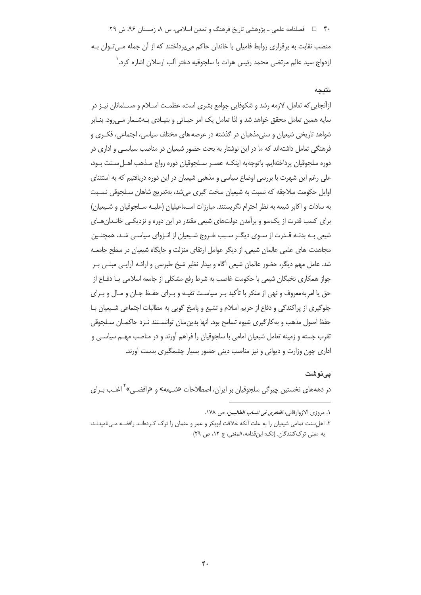۴۰٪ = فصلنامه علمي ـ پژوهشي تاريخ فرهنگ و تمدن اسلامي، س ۸، زمستان ۹۶، ش ۲۹ منصب نقابت به برقراری روابط فامیلی با خاندان حاکم می پرداختند که از آن جمله مـی تـوان بـه ازدواج سيد عالم مرتضى محمد رئيس هرات با سلجوقيه دختر آلب ارسلان اشاره كرد. ٰ

### نتىحە

ازآنجایی که تعامل، لازمه رشد و شکوفایی جوامع بشری است، عظمت اسـلام و مسـلمانان نیـز در سایه همین تعامل محقق خواهد شد و لذا تعامل یک امر حیـاتی و بنیـادی بـهشـمار مـی۱٫ود. بنـابر شواهد تاریخی شیعیان و سنیمذهبان در گذشته در عرصه های مختلف سیاسی، اجتماعی، فکـری و فرهنگی تعامل داشتهاند که ما در این نوشتار به بحث حضور شیعیان در مناصب سیاسی و اداری در دوره سلجوقيان پرداختهايم. باتوجه به اينكــه عصــر ســلجوقيان دوره رواج مــذهب اهــل ســنت بــود، علی رغم این شهرت با بررسی اوضاع سیاسی و مذهبی شیعیان در این دوره دریافتیم که به استثنای اوايل حكومت سلاجقه كه نسبت به شيعيان سخت گيري مي شد، بهتدريج شاهان سـلجوقي نسـبت به سادات و اکابر شیعه به نظر احترام نگریستند. مبارزات اسـماعیلیان (علیـه سـلجوقیان و شـیعیان) برای کسب قدرت از یک سو و برآمدن دولتهای شیعی مقتدر در این دوره و نزدیکـی خانـدانهـای شیعی بـه بدنـه قـدرت از سـوی دیگـر سـبب خـروج شـیعیان از انـزوای سیاسـی شـد. همچنـین مجاهدت های علمی عالمان شیعی، از دیگر عوامل ارتقای منزلت و جایگاه شیعیان در سطح جامعـه شد. عامل مهم دیگر، حضور عالمان شیعی آگاه و بیدار نظیر شیخ طبرسی و ارائـه آرایـی مبنـی بـر جواز همکاری نخبگان شیعی با حکومت غاصب به شرط رفع مشکلی از جامعه اسلامی یـا دفـاع از حق یا امربه معروف و نهی از منکر با تأکید بـر سیاسـت تقیـه و بـرای حفـظ جـان و مـال و بـرای جلوگیری از پراکندگی و دفاع از حریم اسلام و تشیع و پاسخ گویی به مطالبات اجتماعی شـیعیان بـا حفظ اصول مذهب و به کارگیری شیوه تسامح بود. آنها بدین سان توانسـتند نـزد حاکمـان سـلجوقی تقرب جسته و زمینه تعامل شیعیان امامی با سلجوقیان را فراهم آورند و در مناصب مهـم سیاســ , و اداری چون وزارت و دیوانی و نیز مناصب دینی حضور بسیار چشمگیری بدست آورند.

#### یے نوشت

در دهههای نخستین چیرگی سلجوقیان بر ایران، اصطلاحات «شـیعه» و «رافضـی» ٰ اغلـب بـرای

١. مروزي الازوارقاني، *الفخري في انساب الطالبيين*، ص ١٧٨.

۲. اهل سنت تمامی شیعیان را به علت آنکه خلافت ابوبکر و عمر و عثمان را ترک کـردهانـد رافضـه مـیiامیدنـد، به معنى ترك كنندگان. (نك: ابن قدامه، *المغنى*، ج ١٢، ص ٢٩)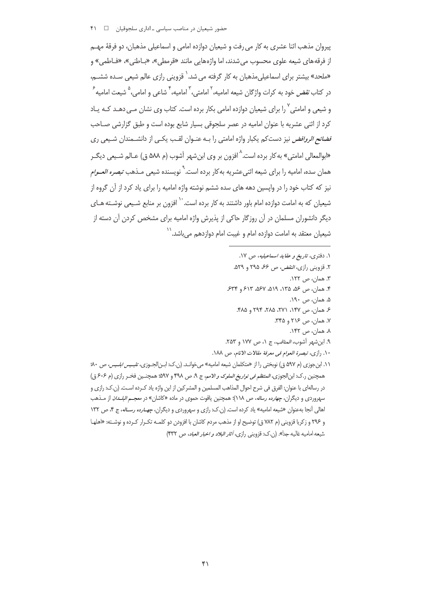### حضور شیعیان در مناصب سیاسی −اداری سلجوقیان <del>۱</del>

پیروان مذهب اثنا عشری به کار می رفت و شیعیان دوازده امامی و اسماعیلی مذهبان، دو فرقهٔ مهــم از فرقه های شیعه علوی محسوب می شدند، اما واژه هایی مانند «قرمطی»، «بـاطنی»، «فـاطمی» و «ملحد» بیشتر برای اسماعیلی،مذهبان به کار گرفته می شد. ٰ قزوینی رازی عالم شیعی سـده ششــم، در کتاب *نقض* خود به کرات واژگان شیعه امامیه،<sup>۲</sup> امامتی،<sup>۳</sup> امامیه،<sup>۴</sup> شاع<sub>ی</sub> و امامی،<sup>۵</sup> شیعت امامیه <sup>۶</sup> و شیعی و امامتی <sup>۷</sup> را برای شیعیان دوازده امامی بکار برده است. کتاب وی نشان مـی دهــد کــه یــاد کرد از اثنی عشریه با عنوان امامیه در عصر سلجوقی بسیار شایع بوده است و طبق گزارشی صـاحب *فضائح الروافض* نیز دستکم یکبار واژه امامتی را بـه عنـوان لقـب یکـی از دانشـمندان شـیعی ری «ابوالمعالي امامتي» به كار برده است.<sup>^</sup> افزون بر وي ابن شهر آشوب (م ۵۸۸ ق) عـالم شـيعي ديگـر همان سده، امامیه را برای شیعه اثنی عشریه به کار برده است.<sup>\</sup> نویسنده شی*عی* مـذهب *تبصره العـوام* نیز که کتاب خود را در وایسین دهه های سده ششم نوشته واژه امامیه را برای یاد کرد از آن گروه از شیعیان که به امامت دوازده امام باور داشتند به کار برده است. `` افزون بر منابع شـیعی نوشـته هـای دیگر دانشوران مسلمان در آن روزگار حاکی از پذیرش واژه امامیه برای مشخص کردن آن دسته از شیعیان معتقد به امامت دوازده امام و غیبت امام دوازدهم مے باشد. <sup>۱٬</sup>

- ١. دفترى، تاريخ و عقايد اسماعيليه، ص ١٧.
	- ٢. قزويني رازي، *النقض، ص ۶۶، ٢٩*۵ و ۵۲۹.
		- ۳. همان، ص ۱۲۲.
- ۴. همان، ص ۵۶، ۱۳۵، ۱۳۵، ۵۶۷، ۶۲۳ و ۶۳۴
	- ۵. همان، ص ۱۹۰.
	- ۶. همان، ص ۱۴۷، ۲۷۱، ۲۸۵، ۲۹۴ و ۴۸۵.
		- ٧. همان، ص ٢١۶ و ٣۴۵.
			- ٨. همان، ص ١۴٢.
- ٩. ابن شهر آشوب، *المناقب*، ج ١، ص ١٧٧ و ٢۵٣.
- ١٠. رازي، تبصرة العوام في معرفة مقالات الانام، ص ١٨٨.
- ۰۱۱. ابن جوزی (م ۵۹۷ ق) نوبختی را از «متکلمان شیعه امامیه» می خوانـد. (ن.ک: ابـن|لجـوزی، تل*بـیس ابلـیس، ص ۸۰*۰ همچنین ر.ک: ابنالجوزی، *المنتظم فی تواریخ الملوک و الامم،* ج ۹، ص ۴۹۸ و ۵۹۷؛ همچنـین فخـر رازی (م ۶۰۶ ق) در رسالهای با عنوان: الفرق فی شرح احوال المذاهب المسلمین و المشر کین از این واژه یاد کـرده اسـت. (ن.ک: رازی و سهروردی و دیگران، *جهارده رساله، ص ۱*۱۸)؛ همچنین یاقوت حموی در ماده «کاشان» در *معجـم البلـدان* از مــذهب اهالی آنجا به عنوان «شیعه امامیه» یاد کرده است. (ن.ک: رازی و سهروردی و دیگران، *چهـارده رسـاله*، ج ۴، ص ۱۳۲ و ۲۹۶ و زکریا قزوینی (م ۷۸۲ ق) توضیح او از مذهب مردم کاشان با افزودن دو کلمـه تکـرار کـرده و نوشـته: «اهلهـا شيعه اماميه غاليه جداً». (ن.ك: قزويني رازي، *آثار البلاد و اخبار العباد*، ص ۴۳۲)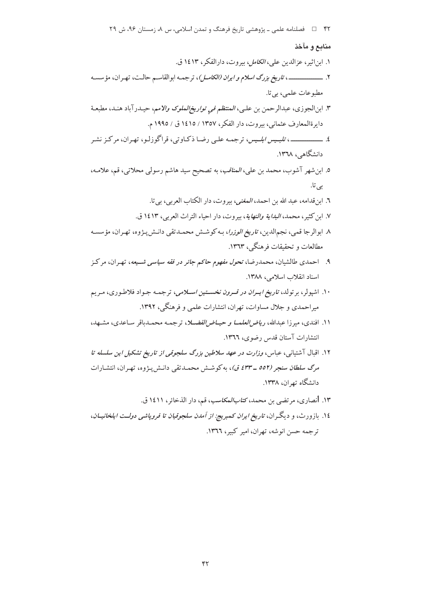#### منابع و مآخذ

١. ابن اثير، عزالدين علي، *الكامل، بي*روت، دارالفكر، ١٤١٣ ق. ۲. ــــــــــــــــــــــــــــــــــ تاريخ بزرگ اسلام *و ايران (الكامــل)*، ترجمــه ابوالقاســم حالـت، تهـران، مؤسسـه مطبوعات علمي، بي تا. ٣. ابنالجوزي، عبدالرحمن بن عليي، *المنتظم في تواريخ الملوك والامم*، حيـدرآباد هنـد، مطبعـة دايرةالمعارف عثماني، بيروت، دار الفكر، ١٣٥٧ / ١٤١٥ ق / ١٩٩٥ م. دانشگاهی، ۱۳۶۸. ٥. ابن شهر آشوب، محمد بن علي، *المناقب*، به تصحيح سيد هاشم رسولي محلاتي، قم، علامه، ہے ، تا. ٦. ابن قدامه، عبد الله بن احمد، *المغنى*، بيروت، دار الكتاب العربي، بي تا. ٧. ابن كثير، محمد، *البداية والنهاية*، بيروت، دار احياء التراث العربي، ١٤١٣ ق. ٨. ابوالرجا قمي، نجمالدين، ت*اريخ الوزرا*، بـه كوشـش محمـدتقي دانـش پـژوه، تهـران، مؤسسـه مطالعات و تحقیقات فرهنگے ، ۱۳۶۳. ۹. احمدی طالشیان، محمدرضا، تح*ول مفهوم حاکم جائ*ر در فقه سی*اسی شسیعه*، تهران، مرکز اسناد انقلاب اسلامی، ١٣٨٨. ۱۰. اشیولر، بر تولد، ت*اریخ ایسران در قسرون نخسستین اسلامی*، ترجمـه جـواد فلاطـوری، مـریم میراحمدی و جلال مساوات، تهران، انتشارات علمی و فرهنگی، ۱۳۹۲. ۱۱. افندی، میرزا عبدالله، *ریاض العلمــا و حیــاض الفضــلا*، ترجمـه محمـدباقر سـاعدی، مشــهد، انتشارات آستان قدس رضوى، ١٣٦٦. ۱۲. اقبال آشتیانی، عباس، *وزارت در عهد سلاطین بزرگ سلجوقی از تاریخ تشکیل این سلسله تا* مرگ س*لطان سنجر (٥٥٢ ـ ٤٣٣ ق)*، به كوشش محمدتقى دانـش يـژوه، تهـران، انتشـارات دانشگاه تهران، ۱۳۳۸. ۱۳. انصاری، مرتضی بن محمد، *کتابالمکاسب*، قم، دار الذخائر، ۱٤۱۱ ق. ۱٤. بازورث، و دیگران، *تاریخ ایران کمبریج: از آمدن سلجوقیان تا فروپاشی دولــت ایلخانیــان*، ترجمه حسن انوشه، تهران، امير كبير، ١٣٦٦.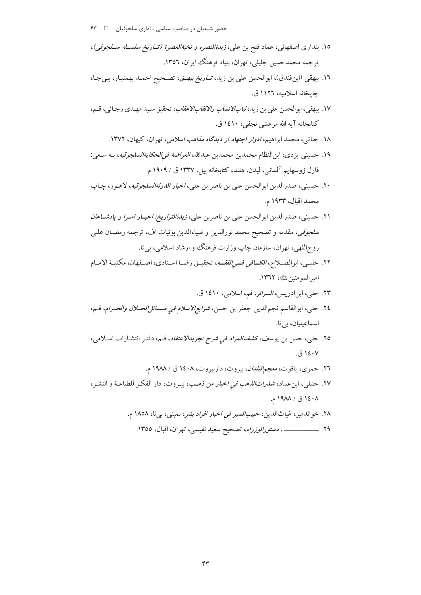- ١٥. بنداري اصفهاني، عماد فتح بن علي، ز*بدةالنصره و نخبةالعصرة (تساريخ سلســله ســلجوقي)*، ترجمه محمدحسین جلیلی، تهران، بنیاد فرهنگ ایران، ۱۳۵۲.
- ١٦. بيهقي (ابنفندق)، ابوالحسن علي بن زيد، *تــاريخ بيهــق*، تصـحيح احمـد بهمنيـار، بـيجـا، جايخانه اسلاميه، ١١٢٦ ق.
- ١٧. بيهقي، ابوالحسن على بن زيد، *لبابالانساب والالقابالاعقاب*، تحقيق سيد مهـدي رجـائي، قـم، كتابخانه آيه الله مرعشي نجفي، ١٤١٠ ق.
	- ۱۸. جناتبی، محمد ابراهیم، *ادوار اجتهاد از دیدگاه مذاهب اسلامی*، تهران، کیهان، ۱۳۷۲.
- ١٩. حسيني يزدي، ابن|لنظام محمدبن محمدبن عبدالله، *العراضة في|لحكايةالسلجوقيه*، بـه سـعي: فارل زوسهايم آلماني، ليدن، هلند، كتابخانه بيل، ١٣٣٧ ق / ١٩٠٩ م.
- ٢٠. حسيني، صدرالدين ابوالحسن على بن ناصر بن علي، *اخبار الدولةالسلجوقية*، لاهـور، چـاپ محمد اقبال، ۱۹۳۳ م.
- ۲۱. حسینی، صدرالدین ابوالحسن علی بن ناصربن علی، *زبدةالتواریخ: اخبـار امـرا و پادشــاهان* س*لجوقي*، مقدمه و تصحيح محمد نورالدين و ضياءالدين بونيات اف، ترجمه رمضـان علـي روحاللهي، تهران، سازمان چاپ وزارت فرهنگ و ارشاد اسلامي، بي تا.
- ٢٢. حلبـي، ابوالصــلاح، *الكــافي فــي الفقــه*، تحقيــق رضــا اسـتادي، اصــفهان، مكتبـة الامــام امير المومنين عليه، ١٣٦٢.
	- ٢٣. حلي، ابن ادريس، *السرائر*، قم، اسلامي، ١٤١٠ ق.
- ٢٤. حلي، ابوالقاسم نجمالدين جعفر بن حسن، *شرايعالاسلام في مســـائلالحـــلال والحــرام*، قــم، اسماعیلیان، بی تا.
- ٢٥. حلي، حسن بن يوسف،كش*فالمراد في شرح تجريدالاعتقاد*، قـم، دفتـر انتشـارات اسـلامي، ۱٤۰۷ ق.
	- ٢٦. حموي، ياقوت، معجم *البلدان*، بيروت، داربيروت، ١٤٠٨ ق / ١٩٨٨ م.
- ۲۷. حنبلی، ابن عماد، *شذرات الذهب فی اخبار من ذهـب*، بیـروت، دار الفکـر للطباعـة و النشـر، ١٤٠٨ ق / ١٩٨٨ م.
	- ٢٨. خواندمير، غياثالدين، حبي*بالسير في اخبار افراد بشر*، بمبئي، بي نا، ١٨٥٨ م.
		- ٢٩. ــــــــــــــــــــــــــ، دستورالوزراء، تصحيح سعيد نفيسي، تهران، اقبال، ١٣٥٥.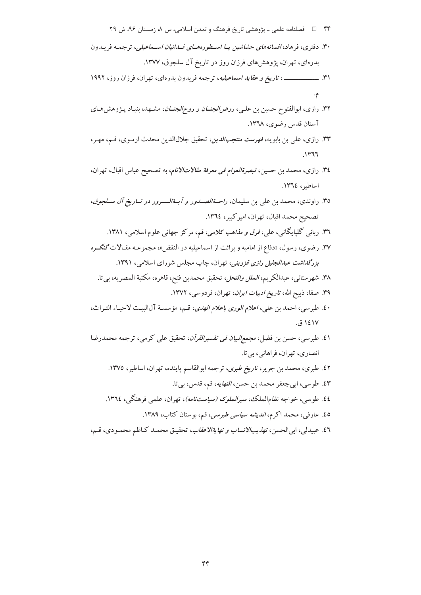۴۴٪ ه استان دار بازوهشي تاريخ فرهنگ و تمدن اسلامي، س ۸، زمستان ۹۶، ش ۲۹

- ۳۰. دفتری، فرهاد، *افسانههای حشاشین یــا اســطورههــای فــدائیان اســماعیلی،* ترجمـه فریـدون بدرهای، تهران، پژوهشهای فرزان روز در تاریخ آل سلجوق، ۱۳۷۷.
- 
- ۳۲. رازی، ابوالفتوح حسین بن علـی، *روض الجنــان و روح|لجنــان*، مشــهد، بنیـاد پــژوهش۵مـای آستان قدس رضوى، ١٣٦٨.
- ۳۳. رازی، علی بن بابویه، فهرست منتجب الدین، تحقیق جلال الدین محدث ارمـوی، قـم، مهـر،  $1147$
- ٣٤. رازي، محمد بن حسين، تبصرةالعوام في معرفة مقالاتالانام، به تصحيح عباس اقبال، تهران، اساطير، ١٣٦٤.
- ٣٥. راوندي، محمد بن علي بن سليمان، *راحـةالصــدور و أيــةالســرور در تــاريخ آل ســلجوق*، تصحيح محمد اقبال، تهران، اميركبير، ١٣٦٤.
	- ۳٦. ربانبي گلپايگانبي، علي، *فرق و مذاهب کلامي*، قم، مرکز جهانبي علوم اسلامي، ۱۳۸۱.
- ۳۷. رضوی، رسول، «دفاع از امامیه و برائت از اسماعیلیه در النقض»، مجموعـه مقـالات *گنگــره* بزرگداشت عبدالجلیل رازی قزوینی، تهران، چاپ مجلس شورای اسلامی، ۱۳۹۱.
	- ٣٨. شهرستاني، عبدالكريم، *الملل والنحل*، تحقيق محمدبن فتح، قاهره، مكتبة المصريه، بي تا.
		- ۳۹. صفا، ذبیح الله، ت*اریخ ادبیات ایران*، تهران، فردوسی، ۱۳۷۲.
- ٤٠. طبرسي، احمد بن علي، اعلام *الورى باعلام الهدى*، قـم، مؤسسـة آلالبيـت لاحيـاء التـراث،  $.5151V$
- ٤١. طبر سي، حسن بن فضل، *مجمع البيان في تفسير القرآن*، تحقيق على كرمي، ترجمه محمدرضا انصاري، تهران، فراهاني، بي تا.
	- ٤٢. طبري، محمد بن جرير، ت*اريخ طبري*، ترجمه ابوالقاسم پاينده، تهران، اساطير، ١٣٧٥.
		- ٤٣. طوسي، ابي جعفر محمد بن حسن، *النهايه*، قم، قدس، بي تا.
	- ٤٤. طوسي، خواجه نظامالملك، *سيرالملوك (سياستنامه)*، تهران، علمي فرهنگي، ١٣٦٤.
		- ۵٤. عارفی، محمد اکرم، *اندیشه سیاسی طبرسی*، قم، بوستان کتاب، ۱۳۸۹.
- ٤٦. عبيدلي، ابي الحسن، ت*هذيب الانساب و نها ية الاعقاب*، تحقيـق محمـد كـاظم محمـودي، قـم،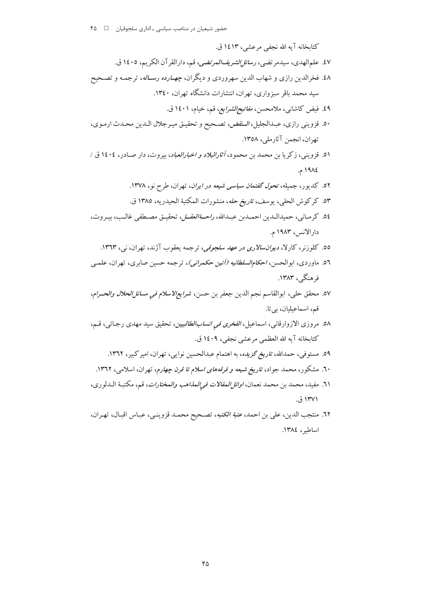كتابخانه آيه الله نجفي مرعشي، ١٤١٣ ق. ٤٧. علمالهدي، سيدمرتضي، *رسائل الشريفالمرتضي*، قم، دارالقرآن الكريم، ١٤٠٥ ق. ٤٨. فخرالدين رازي و شهاب الدين سهروردي و ديگران، *چهـارده رســاله*، ترجمـه و تصـحيح سید محمد باقر سبزواری، تهران، انتشارات دانشگاه تهران، ۱۳٤۰. ٤٩. فيض كاشاني، ملامحسن، *مفاتيح الشرايع،* قم، خيام، ١٤٠١ ق. ٥٠. قزويني رازي، عبدالجليل، *الـنقض*، تصحيح و تحقيـق ميـرجلال الـدين محـدث ارمـوي، تهران، انجمن آثارملي، ١٣٥٨. ٥١. قزويني، زكريا بن محمد بن محمود، *آثارالبلاد و اخبارالعباد*، بيروت، دار صـادر، ١٤٠٤ ق / ١٩٨٤ م. ٥٢. كديور، جميله، تح*ول گفتمان سياسي شيعه در ايران*، تهران، طرح نو، ١٣٧٨. ٥٣. كركوش الحلي، يوسف، ت*اريخ حله*، منشورات المكتبة الحيدريه، ١٣٨٥ ق. 0٤. كرمـاني، حميدالـدين احمـدبن عبـدالله، ر*احـةالعقــل*، تحقيـق مصـطفى غالـب، بيـروت، دارالانس، ۱۹۸۳ م. 00. کلوزنر، کارلا، *دیوانسالاری در عهد سلجوقی،* ترجمه یعقوب آژند، تهران، ن<sub>ه،</sub>، ۱۳٦۳. ٥٦. ماوردي، ابوالحسن، *احكامالسلطانيه (آئين حكمراني)*، ترجمه حسين صابري، تهران، علمـي فرهنگے ، ۱۳۸۳. ٥٧. محقق حلي، ابوالقاسم نجم الدين جعفر بن حسن، *شرايع/لاسلام في مسائل الحلال والحـرام*، قم، اسماعیلیان، بی تا. ٥٨. مروزي الازوارقاني، اسماعيل، *الفخري في انسابالطالبيين*، تحقيق سيد مهدي رجـائي، قـم، كتابخانه آيه الله العظمى مرعشى نجفي، ١٤٠٩ ق. ٥٩. مستوفى، حمدالله، ت*اريخ گزيده*، به اهتمام عبدالحسين نوايي، تهران، امير كبير، ١٣٦٢. ۲۰. مشکور، محمد جواد، *تاریخ شیعه و فرقههای اسلام تا قرن چهارم*، تهران، اسلامی، ۱۳٦۲. ٦١. مفيد، محمد بن محمد نعمان، *اوائل المقالات في المذاهب والمختارات*، قم، مكتبـة الـدلوري، ۱۳۷۱ ق.

٦٢. منتجب الدين، على بن احمد، عتب*ة الكتبه*، تصحيح محمـد قزوينـي، عبـاس اقبـال، تهـران، اساطير، ١٣٨٤.